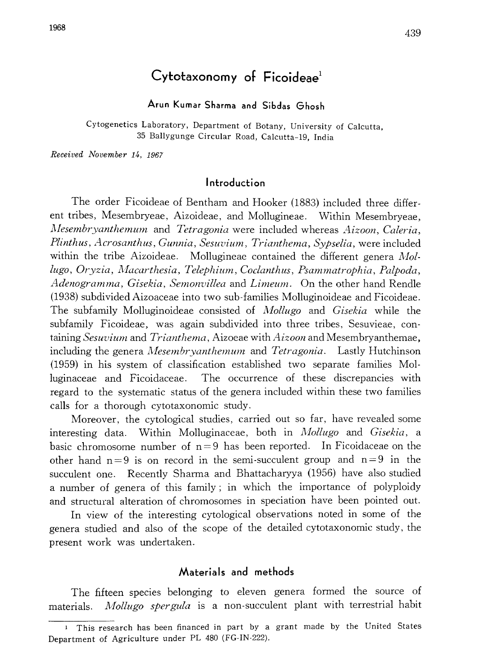# Cytotaxonomy of  $Ficoideae<sup>1</sup>$

Arun Kumar Sharma and Sibdas Ghosh

Cytogenetics Laboratory, Department of Botany, University of Calcutta, 35 Ballygunge Circular Road, Calcutta-19, India

Received November 14, 1967

# Introduction

The order Ficoideae of Bentham and Hooker (1883) included three differ ent tribes, Mesembryeae, Aizoideae, and Mollugineae. Within Mesembryeae, Mesembryanthemum and Tetragonia were included whereas Aizoon, Caleria, Plinthus, Acrosanthus, Gunnia, Sesuvium, Trianthema, Sypselia, were included within the tribe Aizoideae. Mollugineae contained the different genera  $Mol$ lugo, Oryzia, Macarthesia, Telephium, Coclanthus, Psammatrophia, Palpoda, Adenogramma, Gisekia, Semonvillea and Limeum. On the other hand Rendle (1938) subdivided Aizoaceae into two sub-families Molluginoideae and Ficoideae. The subfamily Molluginoideae consisted of Mollugo and Gisekia while the subfamily Ficoideae, was again subdivided into three tribes, Sesuvieae, con taining Sesuvium and Trianthema, Aizoeae with  $A$ *izoon* and Mesembryanthemae, including the genera *Mesembryanthemum* and *Tetragonia*. Lastly Hutchinson (1959) in his system of classification established two separate families Mol luginaceae and Ficoidaceae. The occurrence of these discrepancies with regard to the systematic status of the genera included within these two families calls for a thorough cytotaxonomic study.

Moreover, the cytological studies, carried out so far, have revealed some interesting data. Within Molluginaceae, both in *Mollugo* and *Gisekia*, a basic chromosome number of  $n=9$  has been reported. In Ficoidaceae on the other hand  $n=9$  is on record in the semi-succulent group and  $n=9$  in the succulent one. Recently Sharma and Bhattacharyya (1956) have also studied a number of genera of this family; in which the importance of polyploidy and structural alteration of chromosomes in speciation have been pointed out.

In view of the interesting cytological observations noted in some of the genera studied and also of the scope of the detailed cytotaxonomic study, the present work was undertaken.

#### Materials and methods

The fifteen species belonging to eleven genera formed the source of materials. *Mollugo spergula* is a non-succulent plant with terrestrial habit

<sup>1</sup> This research has been financed in part by a grant made by the United States Department of Agriculture under PL 480 (FG-IN-222).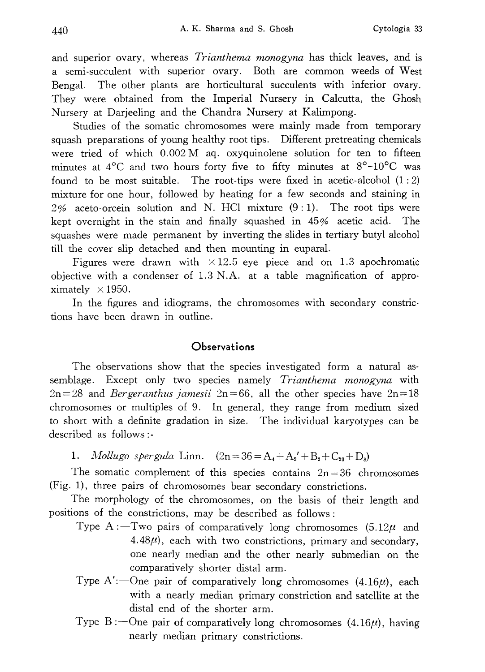and superior ovary, whereas *Trianthema monogyna* has thick leaves, and is a semi-succulent with superior ovary. Both are common weeds of West Bengal. The other plants are horticultural succulents with inferior ovary. They were obtained from the Imperial Nursery in Calcutta, the Ghosh Nursery at Darjeeling and the Chandra Nursery at Kalimpong.

Studies of the somatic chromosomes were mainly made from temporary squash preparations of young healthy root tips. Different pretreating chemicals were tried of which  $0.002 M$  aq. oxyquinolene solution for ten to fifteen minutes at  $4^{\circ}$ C and two hours forty five to fifty minutes at  $8^{\circ}$ -10 $^{\circ}$ C was found to be most suitable. The root-tips were fixed in acetic-alcohol  $(1:2)$ mixture for one hour, followed by heating for a few seconds and staining in  $2\%$  aceto-orcein solution and N. HCl mixture  $(9:1)$ . The root tips were kept overnight in the stain and finally squashed in 45% acetic acid. The squashes were made permanent by inverting the slides in tertiary butyl alcohol till the cover slip detached and then mounting in euparal.

Figures were drawn with  $\times$ 12.5 eye piece and on 1.3 apochromatic objective with a condenser of  $1.3$  N.A. at a table magnification of approximately  $\times$  1950.

In the figures and idiograms, the chromosomes with secondary constric tions have been drawn in outline.

# **Observations**

The observations show that the species investigated form a natural as semblage. Except only two species namely Trianthema monogyna with  $2n=28$  and *Bergeranthus jamesii*  $2n=66$ , all the other species have  $2n=18$ chromosomes or multiples of 9. In general, they range from medium sized to short with a definite gradation in size. The individual karyotypes can be described as follows:-

1. *Mollugo spergula* Linn.  $(2n=36=A_4+A_2'+B_2+C_{20}+D_8)$ 

The somatic complement of this species contains  $2n=36$  chromosomes (Fig. 1), three pairs of chromosomes bear secondary constrictions.

The morphology of the chromosomes, on the basis of their length and positions of the constrictions, may be described as follows:

- Type A: Two pairs of comparatively long chromosomes  $(5.12\mu$  and  $4.48\mu$ , each with two constrictions, primary and secondary, one nearly median and the other nearly submedian on the comparatively shorter distal arm.
- Type A':--One pair of comparatively long chromosomes  $(4.16\mu)$ , each with a nearly median primary constriction and satellite at the distal end of the shorter arm.
- Type B:  $\text{One pair of comparatively long chromosomes } (4.16\mu)$ , having nearly median primary constrictions.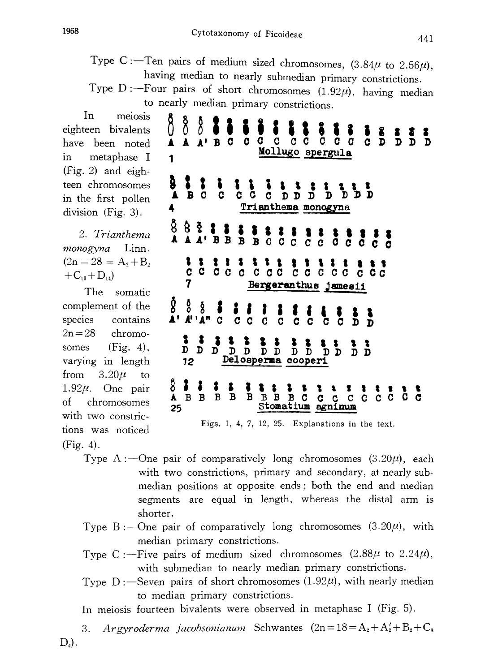8 Ω

▲

A A' B C

Type C:—Ten pairs of medium sized chromosomes,  $(3.84\mu)$  to 2.56 having median to nearly submedian primary constrictions .

Type D: -- Four pairs of short chromosomes  $(1.92\mu)$ , having median to nearly median primary constrictions .

 $\mathbf C$ 

 $C$   $C$ 

 $C$   $C$ 

D

 $C$   $C$ 

In meiosis eighteen bivalents have been noted in metaphase I (Fig. 2) and eigh teen chromosomes in the first pollen division (Fig. 3).

2. Trianthema monogyna Linn.  $(2n=28=A_2+B_2)$  $+C_{10}+D_{14}$ 

The somatic complement of the species contains  $2n=28$  chromosomes (Fig. 4), varying in length from  $3.20\mu$  to 1.92 $\mu$ . One pair of chromosomes with two constric tions was noticed (Fig. 4).

- Mollugo spergula 1  $B$   $C$  $\mathbf{C}$  $\overline{c}$ C D  $\mathbf{D}$ D Trianthema monogyna 4  $A'$  B B  $B$ B C C  $\mathbf C$  $\mathbf{C}$  $\mathbf{C}$ 8 1 c c c c c c c c  $CC$   $C$   $C$   $C$  $C$   $C$   $C$ 7 Bergeranthus jamesii 8 å  $A''A''$  $\mathbf C$ C C C C C  $\mathbf{C}$  $\tilde{\mathbf{n}}$  $\mathbf{C}$ C 8  $\bullet$ D D D  $D$   $D$ ם כ  $\bar{D}$   $\bar{D}$ D D D D Delosperma cooperi 12 8 X. A B B B B **BBBBC**  $C C C C G$ C.  $\mathbf{C}$  $\mathbf{C}$ Stomatium 25 agninum Figs. 1, 4, 7, 12, 25. Explanations in the text.
- Type A:—One pair of comparatively long chromosomes  $(3.20\mu)$ , each with two constrictions, primary and secondary, at nearly submedian positions at opposite ends; both the end and median segments are equal in length, whereas the distal arm is shorter.
- Type B: -- One pair of comparatively long chromosomes  $(3.20\mu)$ , with median primary constrictions.
- Type C: ----Five pairs of medium sized chromosomes  $(2.88\mu$  to  $2.24\mu$ ), with submedian to nearly median primary constrictions.
- Type  $D$ : -Seven pairs of short chromosomes  $(1.92\mu)$ , with nearly median to median primary constrictions.

In meiosis fourteen bivalents were observed in metaphase I (Fig. 5).

3. Argyroderma jacobsonianum Schwantes  $(2n=18=A_2+A'_2+B_2+C_8)$  $D_4$ ).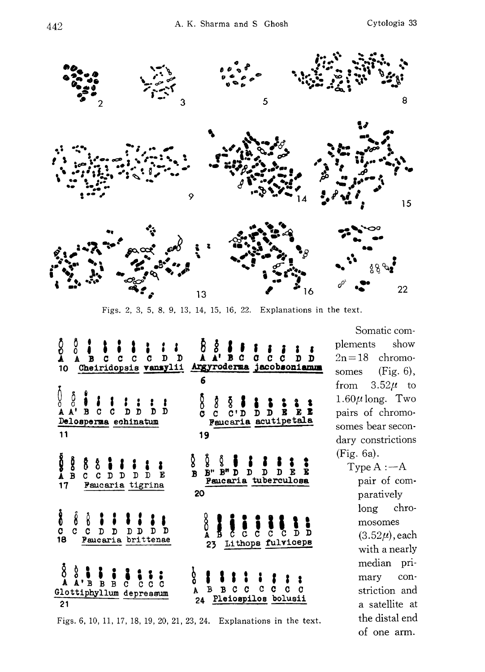

Figs. 2, 3, 5, 8, 9, 13, 14, 15, 16, 22. Explanations in the text.

| δ<br>Ω<br>Δ<br>å<br>$\begin{array}{ccc} \bullet & \bullet & \bullet \\ \bullet & \bullet & \bullet \\ \bullet & \bullet & \bullet \end{array}$<br>B<br>10                                                                                                                                                                                                                                                                                                                                                                                                         | $\begin{array}{cccc}\n\hat{B} & \hat{S} & \hat{B} & \hat{B} \\ \hat{A} & \hat{A}^T & \hat{B} & C\n\end{array}$<br>$\tilde{\mathbf{c}}$<br>c<br>C.<br>D<br>D<br>Cheiridopsis vansylii Argyroderma jacobsoniamum<br>6 |
|-------------------------------------------------------------------------------------------------------------------------------------------------------------------------------------------------------------------------------------------------------------------------------------------------------------------------------------------------------------------------------------------------------------------------------------------------------------------------------------------------------------------------------------------------------------------|---------------------------------------------------------------------------------------------------------------------------------------------------------------------------------------------------------------------|
| ()<br>∆<br>A<br>å<br>$\begin{array}{c} \bullet \\ \bullet \\ \bullet \\ \bullet \end{array}$<br>$\frac{1}{D}$ $\frac{1}{D}$ $\frac{1}{D}$<br>$\frac{1}{c}$<br>Ď<br>$\mathbf{A}^{\dagger}$<br>Delosperma echinatum<br>11                                                                                                                                                                                                                                                                                                                                           | ნ<br>C<br>C<br>19                                                                                                                                                                                                   |
| Ö<br>A<br>oop<br>B<br>$\begin{array}{c}\n 8 \stackrel{1}{\circ} \stackrel{1}{\circ} \stackrel{1}{\circ} \stackrel{1}{\circ} \stackrel{1}{\circ} \stackrel{1}{\circ} \stackrel{1}{\circ} \stackrel{1}{\circ} \stackrel{1}{\circ} \stackrel{1}{\circ} \stackrel{1}{\circ} \stackrel{1}{\circ} \stackrel{1}{\circ} \stackrel{1}{\circ} \stackrel{1}{\circ} \stackrel{1}{\circ} \stackrel{1}{\circ} \stackrel{1}{\circ} \stackrel{1}{\circ} \stackrel{1}{\circ} \stackrel{1}{\circ} \stackrel{1}{\circ} \stackrel{1}{\circ} \stackrel$<br>E<br>Faucaria tigrina<br>17 | ĝ<br>ğ<br>ĝ<br>$\frac{1}{D}$<br>E<br>$B''$ $B''$ $D$<br>E<br>$\mathbf{D}$<br>$\mathbf{D}$<br>$\overline{B}$<br>Paucaria tuberculosa<br>20                                                                           |
| $\frac{8}{3}$<br>$\int\limits_{C}$<br>$\begin{array}{c}\n\stackrel{?}{\circ} & \stackrel{?}{\circ} & \stackrel{?}{\circ} \\ C & D & D & J\n\end{array}$<br>$\frac{1}{\text{D} \text{D} \text{D}}$<br>$\mathbf{D}$<br>18<br>Faucaria brittenae                                                                                                                                                                                                                                                                                                                     | $\frac{8}{4}$<br>$\begin{array}{c} \bullet \\ \bullet \\ \bullet \\ \bullet \end{array}$<br>Đ<br>D<br>Lithops fulviceps<br>23 <sub>1</sub>                                                                          |
| $\delta$<br>$\Delta$<br>$\overset{\circ}{\mathbf{A}}$ , $\overset{\bullet}{\mathbf{B}}$ $\overset{\bullet}{\mathbf{B}}$ $\overset{\bullet}{\mathbf{B}}$ $\overset{\bullet}{\mathbf{B}}$ $\overset{\bullet}{\mathbf{C}}$<br>$\overline{c}$ $\overline{c}$<br>$\overline{c}$<br>c<br>Glottiphyllum depressum<br>21                                                                                                                                                                                                                                                  | ģ<br>$\begin{array}{cc} \mathbf{i} & \mathbf{j} \\ \mathbf{c} & \mathbf{c} \end{array}$<br>$\frac{1}{B}$<br>$\mathbf{B}$<br>C<br>C<br>c<br>A<br>24 Pleiospilos bolusii                                              |

Somatic com plements show  $2n=18$  chromosomes (Fig. 6), from  $3.52\mu$  to 1.60 $\mu$  long. Two pairs of chromo somes bear secon dary constrictions (Fig. 6a).

> Type  $A : -A$ pair of com paratively long chro mosomes  $(3.52\mu)$ , each with a nearly median pri mary con striction and a satellite at the distal end of one arm.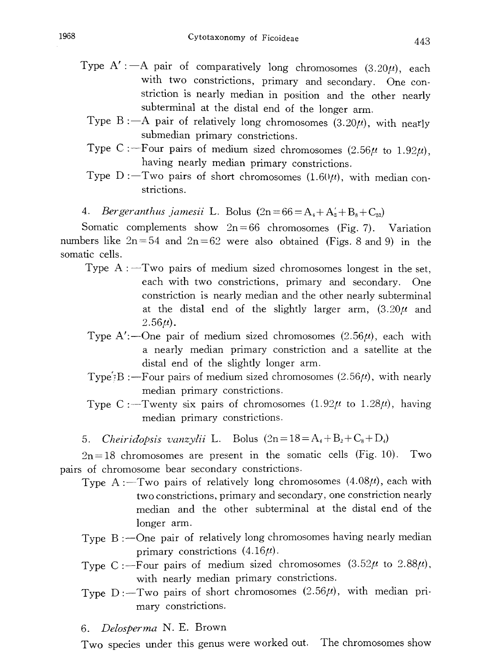- Type A':  $-A$  pair of comparatively long chromosomes (3.20 $\mu$ ), each with two constrictions, primary and secondary. One constriction is nearly median in position and the other nearly subterminal at the distal end of the longer arm.
	- Type B: -- A pair of relatively long chromosomes  $(3.20\mu)$ , with nearly submedian primary constrictions.
	- Type C: -- Four pairs of medium sized chromosomes (2.56 $\mu$  to 1.92 $\mu$ ), having nearly median primary constrictions.
	- Type  $D$ : -Two pairs of short chromosomes (1.60 $\mu$ ), with median constrictions.

4. *Bergeranthus jamesii* L. Bolus  $(2n=66=A_4+A_2+B_8+C_{52})$ 

Somatic complements show  $2n=66$  chromosomes (Fig. 7). Variation numbers like  $2n=54$  and  $2n=62$  were also obtained (Figs. 8 and 9) in the somatic cells.

- Type  $A:$  Two pairs of medium sized chromosomes longest in the set, each with two constrictions, primary and secondary. One constriction is nearly median and the other nearly subterminal at the distal end of the slightly larger arm,  $(3.20\mu$  and  $2.56\mu$ ).
- Type A':—One pair of medium sized chromosomes  $(2.56\mu)$ , each with a nearly median primary constriction and a satellite at the distal end of the slightly longer arm.
- Type:  $B:$  -Four pairs of medium sized chromosomes (2.56 $\mu$ ), with nearly median primary constrictions.
- Type C: -Twenty six pairs of chromosomes  $(1.92\mu)$  to  $1.28\mu$ , having median primary constrictions.
- 5. Cheiridopsis vanzylii L. Bolus  $(2n=18=A_4+B_2+C_8+D_4)$

 $2n=18$  chromosomes are present in the somatic cells (Fig. 10). Two pairs of chromosome bear secondary constrictions.

- Type A: -- Two pairs of relatively long chromosomes  $(4.08\mu)$ , each with two constrictions, primary and secondary, one constriction nearly median and the other subterminal at the distal end of the longer arm.
- Type  $B:$  -One pair of relatively long chromosomes having nearly median primary constrictions  $(4.16\mu)$ .
- Type C:--Four pairs of medium sized chromosomes  $(3.52\mu)$  to  $2.88\mu$ ), with nearly median primary constrictions.
- Type  $D$ : -Two pairs of short chromosomes (2.56 $\mu$ ), with median primary constrictions.

6. Delosperma N. E. Brown

Two species under this genus were worked out. The chromosomes show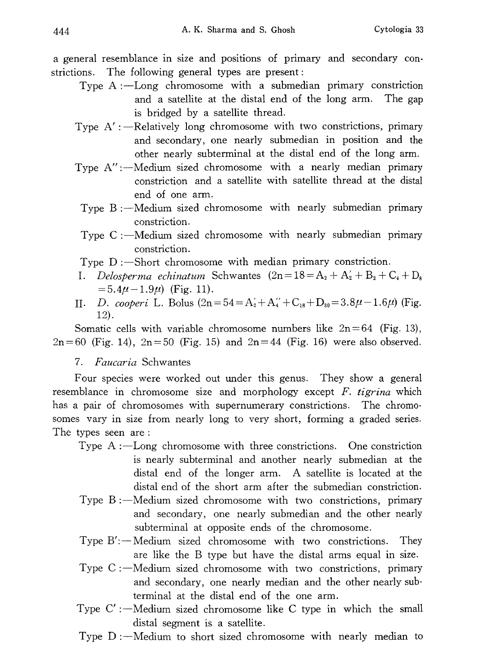a general resemblance in size and positions of primary and secondary con strictions. The following general types are present:

- Type  $A:$  -Long chromosome with a submedian primary constriction and a satellite at the distal end of the long arm. The gap is bridged by a satellite thread.
- Type  $A'$ : --Relatively long chromosome with two constrictions, primary and secondary, one nearly submedian in position and the other nearly subterminal at the distal end of the long arm.
- Type  $A''$ : --Medium sized chromosome with a nearly median primary constriction and a satellite with satellite thread at the distal end of one arm.
	- Type  $B:$  -Medium sized chromosome with nearly submedian primary constriction.
	- Type  $C:$  -Medium sized chromosome with nearly submedian primary constriction.

Type  $D$ : -Short chromosome with median primary constriction.

- I. Delosperma echinatum Schwantes  $(2n=18=A_2+A'_2+B_2+C_4+D_8)$  $=$  5.4 $\mu$  – 1.9 $\mu$ ) (Fig. 11).
- II. D. cooperi L. Bolus  $(2n=54=A'_2+A''_4+C_{18}+D_{30}=3.8\mu-1.6\mu)$  (Fig. 12).

Somatic cells with variable chromosome numbers like  $2n=64$  (Fig. 13),  $2n=60$  (Fig. 14),  $2n=50$  (Fig. 15) and  $2n=44$  (Fig. 16) were also observed.

# 7. Faucaria Schwantes

Four species were worked out under this genus. They show a general resemblance in chromosome size and morphology except  $F$ . tigrina which has a pair of chromosomes with supernumerary constrictions. The chromo somes vary in size from nearly long to very short, forming a graded series. The types seen are:

- Type  $A:$  -Long chromosome with three constrictions. One constriction is nearly subterminal and another nearly submedian at the distal end of the longer arm. A satellite is located at the distal end of the short arm after the submedian constriction.
- Type  $B:$  -Medium sized chromosome with two constrictions, primary and secondary, one nearly submedian and the other nearly subterminal at opposite ends of the chromosome.
- Type  $B'$ :  $\rightarrow$  Medium sized chromosome with two constrictions. They are like the B type but have the distal arms equal in size.
- Type  $C$ : --Medium sized chromosome with two constrictions, primary and secondary, one nearly median and the other nearly sub terminal at the distal end of the one arm.
- Type  $C'$ : --Medium sized chromosome like C type in which the small distal segment is a satellite.
- Type  $D$ :  $\sim$  Medium to short sized chromosome with nearly median to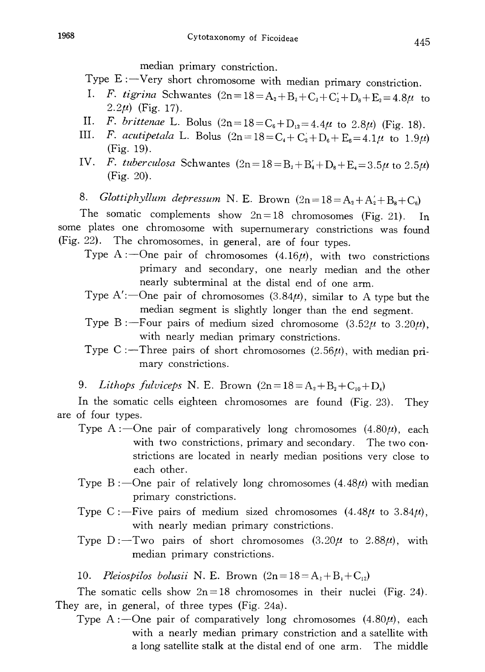median primary constriction.

Type  $E := V$ ery short chromosome with median primary constriction.

- I. F. tigrina Schwantes  $(2n=18=A_2+B_2+C_2+C_2+D_8+E_2=4.8\mu$  to 2.2 $\mu$ ) (Fig. 17).
- II. F. brittenae L. Bolus  $(2n=18=C_6+D_{12}=4.4\mu$  to  $2.8\mu$ ) (Fig. 18).
- III. F. acutipetala L. Bolus  $(2n=18=C_4+C_2+D_6+E_6=4.1\mu$  to  $1.9\mu$ ) (Fig. 19).
- IV. F. tuberculosa Schwantes  $(2n=18=B_2+B_4+D_8+E_4=3.5\mu$  to  $2.5\mu$ )  $(Fig. 20)$ .
- 8. Glottiphyllum depressum N. E. Brown  $(2n=18=A_2+A'_2+B_8+C_6)$

The somatic complements show  $2n=18$  chromosomes (Fig. 21). In some plates one chromosome with supernumerary constrictions was found (Fig. 22). The chromosomes, in general, are of four types.

- Type A:--One pair of chromosomes  $(4.16\mu)$ , with two constrictions primary and secondary, one nearly median and the other nearly subterminal at the distal end of one arm.
- Type A':--One pair of chromosomes  $(3.84\mu)$ , similar to A type but the median segment is slightly longer than the end segment.
- Type B:—Four pairs of medium sized chromosome  $(3.52\mu)$  to  $3.20\mu$ , with nearly median primary constrictions.
- Type C:-Three pairs of short chromosomes  $(2.56\mu)$ , with median primary constrictions.
- 9. Lithops fulviceps N. E. Brown  $(2n=18=A_2+B_2+C_{10}+D_4)$

In the somatic cells eighteen chromosomes are found (Fig. 23). They are of four types.

- Type A:—One pair of comparatively long chromosomes  $(4.80\mu)$ , each with two constrictions, primary and secondary. The two constrictions are located in nearly median positions very close to each other.
- Type B:  $\sim$ One pair of relatively long chromosomes  $(4.48\mu)$  with median primary constrictions.
- Type C: ----Five pairs of medium sized chromosomes  $(4.48\mu)$  to  $3.84\mu$ , with nearly median primary constrictions.
- Type  $D$ : -Two pairs of short chromosomes  $(3.20\mu)$  to  $2.88\mu$ , with median primary constrictions.

10. Pleiospilos bolusii N. E. Brown  $(2n=18=A_2+B_4+C_{12})$ 

The somatic cells show  $2n=18$  chromosomes in their nuclei (Fig. 24). They are, in general, of three types (Fig. 24a).

Type A:—One pair of comparatively long chromosomes  $(4.80\mu)$ , each with a nearly median primary constriction and a satellite with a long satellite stalk at the distal end of one arm. The middle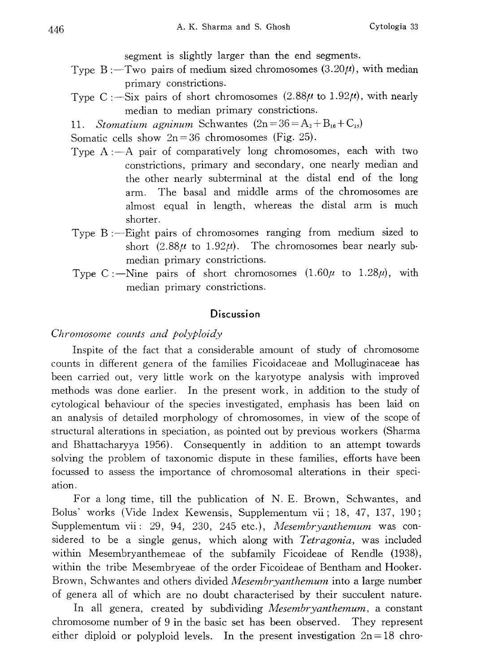segment is slightly larger than the end segments.

- Type  $B:$  -Two pairs of medium sized chromosomes  $(3.20\mu)$ , with median primary constrictions.
- Type C: -Six pairs of short chromosomes  $(2.88\mu)$  to  $1.92\mu)$ , with nearly median to median primary constrictions.

11. Stomatium agninum Schwantes  $(2n=36=A_2+B_{16}+C_{18})$ 

Somatic cells show  $2n=36$  chromosomes (Fig. 25).

- Type  $A: A$  pair of comparatively long chromosomes, each with two constrictions, primary and secondary, one nearly median and the other nearly subterminal at the distal end of the long arm. The basal and middle arms of the chromosomes are almost equal in length, whereas the distal arm is much shorter.
- Type  $B:$  -Eight pairs of chromosomes ranging from medium sized to short (2.88 $\mu$  to 1.92 $\mu$ ). The chromosomes bear nearly submedian primary constrictions.
- Type C: --Nine pairs of short chromosomes  $(1.60\mu)$  to  $1.28\mu$ , with median primary constrictions.

### **Discussion**

#### Chromosome counts and polyploidy

Inspite of the fact that a considerable amount of study of chromosome counts in different genera of the families Ficoidaceae and Molluginaceae has been carried out, very little work on the karyotype analysis with improved methods was done earlier. In the present work, in addition to the study of cytological behaviour of the species investigated, emphasis has been laid on an analysis of detailed morphology of chromosomes, in view of the scope of structural alterations in speciation, as pointed out by previous workers (Sharma and Bhattacharyya 1956). Consequently in addition to an attempt towards solving the problem of taxonomic dispute in these families, efforts have been focussed to assess the importance of chromosomal alterations in their speci ation.

For a long time, till the publication of N. E. Brown, Schwantes, and Bolus' works (Vide Index Kewensis, Supplementum vii; 18, 47, 137, 190; Supplementum vii: 29, 94, 230, 245 etc.), Mesembryanthemum was considered to be a single genus, which along with *Tetragonia*, was included within Mesembryanthemeae of the subfamily Ficoideae of Rendle (1938), within the tribe Mesembryeae of the order Ficoideae of Bentham and Hooker. Brown, Schwantes and others divided *Mesembryanthemum* into a large number of genera all of which are no doubt characterised by their succulent nature.

In all genera, created by subdividing Mesembryanthemum, a constant chromosome number of 9 in the basic set has been observed. They represent either diploid or polyploid levels. In the present investigation  $2n=18$  chro-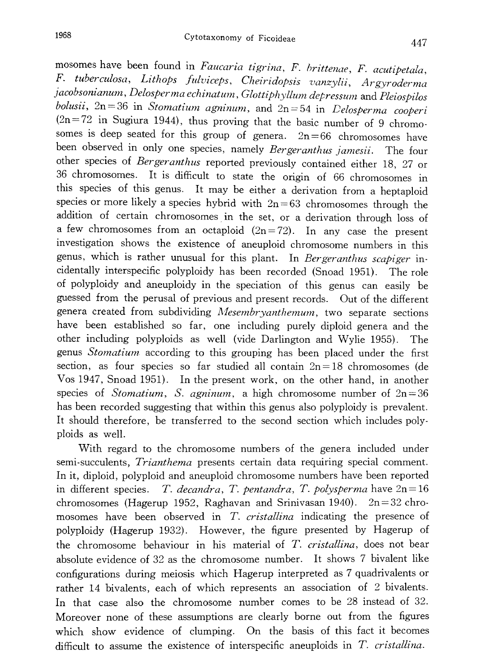mosomes have been found in Faucaria tigrina, F. brittenae, F. acutipetala. F. tuberculosa, Lithops fulviceps, Cheiridopsis vanzylii, Argyroderm jacobsonianum, Delosperma echinatum, Glottiphyllum depressum and Pleiospilos bolusii,  $2n=36$  in Stomatium agninum, and  $2n=54$  in Delosperma cooperi  $(2n=72$  in Sugiura 1944), thus proving that the basic number of 9 chromosomes is deep seated for this group of genera.  $2n=66$  chromosomes have been observed in only one species, namely *Bergeranthus jamesii*. The four other species of Bergeranthus reported previously contained either 18, 27 or 36 chromosomes. It is difficult to state the origin of 66 chromosomes in this species of this genus. It may be either a derivation from a heptaploid species or more likely a species hybrid with  $2n=63$  chromosomes through the addition of certain chromosomes in the set, or a derivation through loss of a few chromosomes from an octaploid  $(2n=72)$ . In any case the present investigation shows the existence of aneuploid chromosome numbers in this genus, which is rather unusual for this plant. In Bergeranthus scapiger incidentally interspecific polyploidy has been recorded (Snoad 1951). The role of polyploidy and aneuploidy in the speciation of this genus can easily be guessed from the perusal of previous and present records. Out of the different genera created from subdividing Mesembryanthemum, two separate sections have been established so far, one including purely diploid genera and the other including polyploids as well (vide Darlington and Wylie 1955). The genus *Stomatium* according to this grouping has been placed under the first section, as four species so far studied all contain  $2n=18$  chromosomes (de Vos 1947, Snoad 1951). In the present work, on the other hand, in another species of *Stomatium*, *S. agninum*, a high chromosome number of  $2n=36$ has been recorded suggesting that within this genus also polyploidy is prevalent. It should therefore, be transferred to the second section which includes poly ploids as well.

With regard to the chromosome numbers of the genera included under semi-succulents, Trianthema presents certain data requiring special comment. In it, diploid, polyploid and aneuploid chromosome numbers have been reported in different species. T. decandra, T. pentandra, T. polysperma have  $2n=16$ chromosomes (Hagerup 1952, Raghavan and Srinivasan 1940). 2n=32 chro mosomes have been observed in T. cristallina indicating the presence of polyploidy (Hagerup 1932). However, the figure presented by Hagerup of the chromosome behaviour in his material of T. cristallina, does not bear absolute evidence of 32 as the chromosome number. It shows 7 bivalent like configurations during meiosis which Hagerup interpreted as 7 quadrivalents or rather 14 bivalents, each of which represents an association of 2 bivalents. In that case also the chromosome number comes to be 28 instead of 32. Moreover none of these assumptions are clearly borne out from the figures which show evidence of clumping. On the basis of this fact it becomes difficult to assume the existence of interspecific aneuploids in  $T$ . *cristallina*.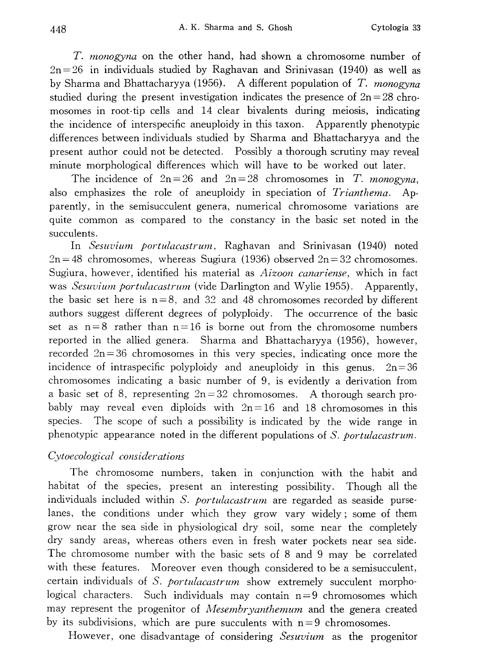T. monogyna on the other hand, had shown a chromosome number of  $2n=26$  in individuals studied by Raghavan and Srinivasan (1940) as well as by Sharma and Bhattacharyya (1956). A different population of T. monogyna studied during the present investigation indicates the presence of  $2n=28$  chromosomes in root-tip cells and 14 clear bivalents during meiosis, indicating the incidence of interspecific aneuploidy in this taxon. Apparently phenotypic differences between individuals studied by Sharma and Bhattacharyya and the present author could not be detected. Possibly a thorough scrutiny may reveal minute morphological differences which will have to be worked out later.

The incidence of  $2n=26$  and  $2n=28$  chromosomes in T. *monogyna*, also emphasizes the role of aneuploidy in speciation of Trianthema. Ap parently, in the semisucculent genera, numerical chromosome variations are quite common as compared to the constancy in the basic set noted in the succulents.

In Sesuvium portulacastrum, Raghavan and Srinivasan (1940) noted  $2n=48$  chromosomes, whereas Sugiura (1936) observed  $2n=32$  chromosomes. Sugiura, however, identified his material as *Aizoon canariense*, which in fact was *Sesuvium portulacastrum* (vide Darlington and Wylie 1955). Apparently, the basic set here is  $n=8$ , and 32 and 48 chromosomes recorded by different authors suggest different degrees of polyploidy. The occurrence of the basic set as  $n=8$  rather than  $n=16$  is borne out from the chromosome numbers reported in the allied genera. Sharma and Bhattacharyya (1956), however, recorded  $2n=36$  chromosomes in this very species, indicating once more the incidence of intraspecific polyploidy and aneuploidy in this genus.  $2n=36$ chromosomes indicating a basic number of 9, is evidently a derivation from a basic set of 8, representing  $2n=32$  chromosomes. A thorough search probably may reveal even diploids with  $2n=16$  and 18 chromosomes in this species. The scope of such a possibility is indicated by the wide range in phenotypic appearance noted in the different populations of S. portulacastrum.

# Cytoecological considerations

The chromosome numbers, taken in conjunction with the habit and habitat of the species, present an interesting possibility. Though all the individuals included within S. portulacastrum are regarded as seaside purselanes, the conditions under which they grow vary widely; some of them grow near the sea side in physiological dry soil, some near the completely dry sandy areas, whereas others even in fresh water pockets near sea side. The chromosome number with the basic sets of 8 and 9 may be correlated with these features. Moreover even though considered to be a semisucculent, certain individuals of S. portulacastrum show extremely succulent morphological characters. Such individuals may contain  $n=9$  chromosomes which may represent the progenitor of *Mesembryanthemum* and the genera created by its subdivisions, which are pure succulents with  $n=9$  chromosomes.

However, one disadvantage of considering *Sesuvium* as the progenitor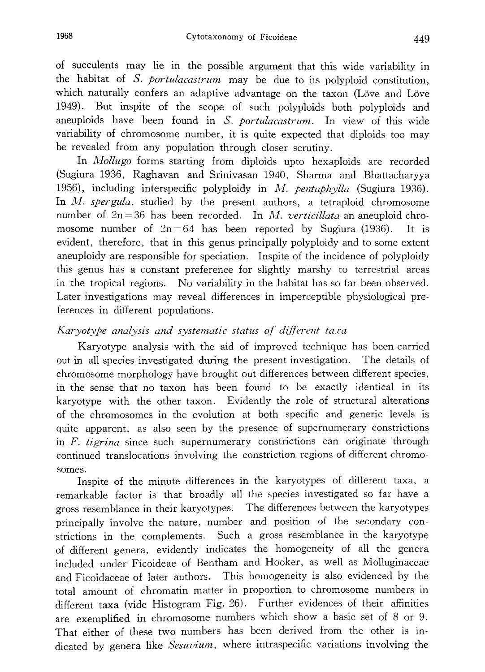of succulents may lie in the possible argument that this wide variability in the habitat of S. portulacastrum may be due to its polyploid constitution, which naturally confers an adaptive advantage on the taxon (Löve and Löve 1949). But inspite of the scope of such polyploids both polyploids and aneuploids have been found in S. portulacastrum. In view of this wide variability of chromosome number, it is quite expected that diploids too may be revealed from any population through closer scrutiny.

In *Mollugo* forms starting from diploids upto hexaploids are recorded (Sugiura 1936, Raghavan and Srinivasan 1940, Sharma and Bhattacharyya 1956), including interspecific polyploidy in M. pentaphylla (Sugiura 1936). In M. spergula, studied by the present authors, a tetraploid chromosome number of  $2n=36$  has been recorded. In M. verticillata an aneuploid chromosome number of  $2n=64$  has been reported by Sugiura (1936). It is evident, therefore, that in this genus principally polyploidy and to some extent aneuploidy are responsible for speciation. Inspite of the incidence of polyploidy this genus has a constant preference for slightly marshy to terrestrial areas in the tropical regions. No variability in the habitat has so far been observed. Later investigations may reveal differences in imperceptible physiological pre ferences in different populations.

# Karyotype analysis and systematic status of different taxa

Karyotype analysis with the aid of improved technique has been carried out in all species investigated during the present investigation. The details of chromosome morphology have brought out differences between different species, in the sense that no taxon has been found to be exactly identical in its karyotype with the other taxon. Evidently the role of structural alterations of the chromosomes in the evolution at both specific and generic levels is quite apparent, as also seen by the presence of supernumerary constrictions in F. tigrina since such supernumerary constrictions can originate through continued translocations involving the constriction regions of different chromo somes.

Inspite of the minute differences in the karyotypes of different taxa, a remarkable factor is that broadly all the species investigated so far have a gross resemblance in their karyotypes. The differences between the karyotypes principally involve the nature, number and position of the secondary con strictions in the complements. Such a gross resemblance in the karyotype of different genera, evidently indicates the homogeneity of all the genera included under Ficoideae of Bentham and Hooker, as well as Molluginaceae and Ficoidaceae of later authors. This homogeneity is also evidenced by the total amount of chromatin matter in proportion to chromosome numbers in different taxa (vide Histogram Fig. 26). Further evidences of their affinities are exemplified in chromosome numbers which show a basic set of 8 or 9. That either of these two numbers has been derived from the other is in dicated by genera like Sesuvium, where intraspecific variations involving the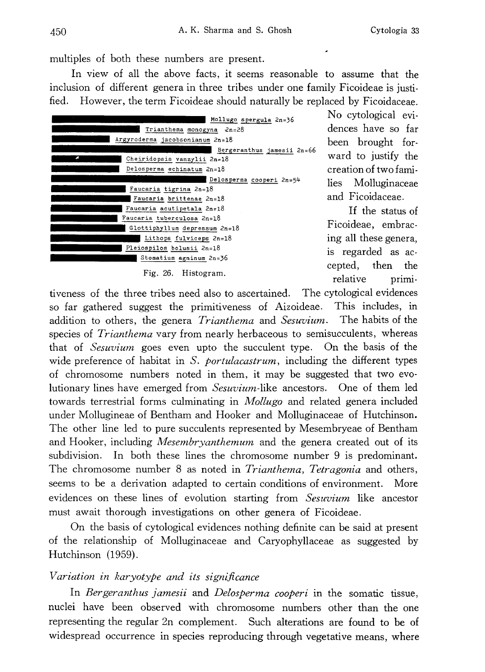multiples of both these numbers are present.

In view of all the above facts, it seems reasonable to assume that the inclusion of different genera in three tribes under one family Ficoideae is justi fied. However, the term Ficoideae should naturally be replaced by Ficoidaceae.

| Mollugo spergula 2n=36          |  |
|---------------------------------|--|
| Trianthema monogyna 2n=28       |  |
| Argyroderma jacobsonianum 2n=18 |  |
| Bergeranthus jamesii 2n=66      |  |
| Cheiridopsis vanzylii 2n=18     |  |
| Delosperma echinatum 2n=18      |  |
| Delosperma cooperi 2n=54        |  |
| Faucaria tigrina 2n=18          |  |
| Faucaria brittenae $2n=18$      |  |
| Faucaria acutipetala 2n=18      |  |
| Faucaria tuberculosa 2n=18      |  |
| Glottiphyllum depressum 2n=18   |  |
| Lithops fulviceps 2n=18         |  |
| Pleiospilos bolusii 2n=18       |  |
| Stomatium agninum 2n=36         |  |
| Fig. 26. Histogram.             |  |

No cytological evi dences have so far been brought for ward to justify the creation of two fami lies Molluginaceae and Ficoidaceae.

If the status of Ficoideae, embrac ing all these genera, is regarded as ac cepted, then the relative primi-

tiveness of the three tribes need also to ascertained. The cytological evidences so far gathered suggest the primitiveness of Aizoideae. This includes, in addition to others, the genera *Trianthema* and *Sesuvium*. The habits of the species of *Trianthema* vary from nearly herbaceous to semisucculents, whereas that of Sesuvium goes even upto the succulent type. On the basis of the wide preference of habitat in S. *portulacastrum*, including the different types of chromosome numbers noted in them, it may be suggested that two evo lutionary lines have emerged from *Sesuvium*-like ancestors. One of them led towards terrestrial forms culminating in Mollugo and related genera included under Mollugineae of Bentham and Hooker and Molluginaceae of Hutchinson. The other line led to pure succulents represented by Mesembryeae of Bentham and Hooker, including *Mesembryanthemum* and the genera created out of its subdivision. In both these lines the chromosome number 9 is predominant. The chromosome number 8 as noted in *Trianthema*, *Tetragonia* and others, seems to be a derivation adapted to certain conditions of environment. More evidences on these lines of evolution starting from *Sesuvium* like ancestor must await thorough investigations on other genera of Ficoideae.

On the basis of cytological evidences nothing definite can be said at present of the relationship of Molluginaceae and Caryophyllaceae as suggested by Hutchinson (1959).

# Variation in karyotype and its significance

In Bergeranthus jamesii and Delosperma cooperi in the somatic tissue, nuclei have been observed with chromosome numbers other than the one representing the regular 2n complement. Such alterations are found to be of widespread occurrence in species reproducing through vegetative means , where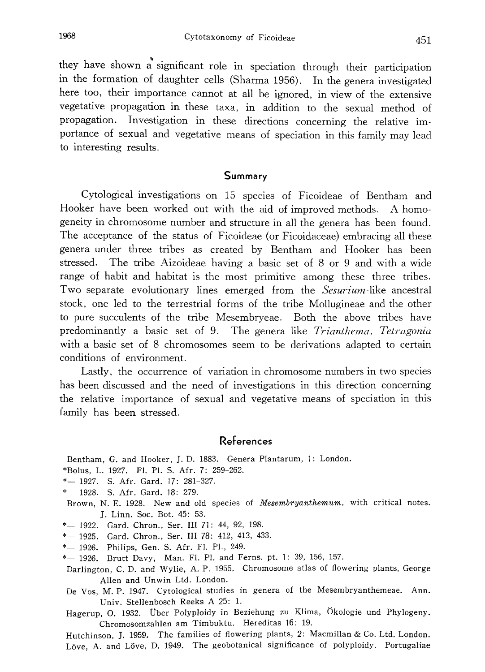they have shown a significant role in speciation through their participation in the formation of daughter cells (Sharma 1956). In the genera investigated here too, their importance cannot at all be ignored, in view of the extensive vegetative propagation in these taxa, in addition to the sexual method of propagation. Investigation in these directions concerning the relative im portance of sexual and vegetative means of speciation in this family may lead to interesting results.

## Summary

Cytological investigations on 15 species of Ficoideae of Bentham and Hooker have been worked out with the aid of improved methods. A homo geneity in chromosome number and structure in all the genera has been found. The acceptance of the status of Ficoideae (or Ficoidaceae) embracing all these genera under three tribes as created by Bentham and Hooker has been stressed. The tribe Aizoideae having a basic set of 8 or 9 and with a wide range of habit and habitat is the most primitive among these three tribes. Two separate evolutionary lines emerged from the *Sesurium*-like ancestral stock, one led to the terrestrial forms of the tribe Mollugineae and the other to pure succulents of the tribe Mesembryeae. Both the above tribes have predominantly a basic set of 9. The genera like Trianthema, Tetragonia with a basic set of 8 chromosomes seem to be derivations adapted to certain conditions of environment.

Lastly, the occurrence of variation in chromosome numbers in two species has been discussed and the need of investigations in this direction concerning the relative importance of sexual and vegetative means of speciation in this family has been stressed.

# References

Bentham, G. and Hooker, J. D. 1883. Genera Plantarum, 1: London.

- \*Bolus , L. 1927. Fl. Pl. S. Afr. 7: 259-262.
- \*- 1927. S. Afr. Gard. 17: 281-327.
- \*- 1928. S. Afr. Gard. 18: 279.
- Brown, N. E. 1928. New and old species of Mesembryanthemum, with critical notes. J. Linn. Soc. Bot. 45: 53.
- \*- 1922. Gard. Chron., Ser. III 71: 44, 92, 198.
- \*- 1925. Gard. Chron., Ser. III 78: 412, 413, 433.
- \*- 1926. Philips, Gen. S. Afr. Fl. Pl., 249.
- \*- 1926. Brutt Davy, Man. Fl. Pl. and Ferns. pt. 1: 39, 156, 157.
- Darlington, C. D. and Wylie, A. P. 1955. Chromosome atlas of flowering plants, George Allen and Unwin Ltd. London.
- De Vos, M. P. 1947. Cytological studies in genera of the Mesembryanthemeae. Ann. Univ. Stellenbosch Reeks A 25: 1.

Hagerup, O. 1932. Über Polyploidy in Beziehung zu Klima, Ökologie und Phylogeny. Chromosornzahlen am Timbuktu. Hereditas 16: 19.

Hutchinson, J. 1959. The families of flowering plants, 2: Macmillan & Co. Ltd. London. Löve, A. and Löve, D. 1949. The geobotanical significance of polyploidy. Portugaliae